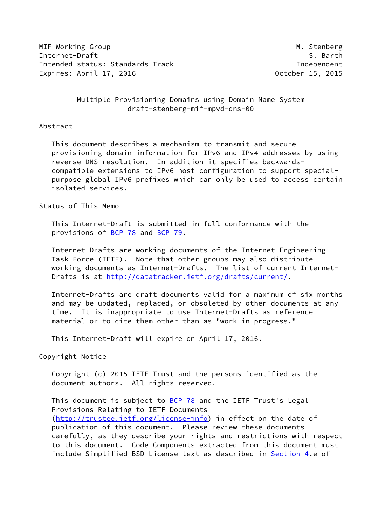MIF Working Group Mission Communication of the Mission Communication of Mission Mission Mission Mission Mission Internet-Draft S. Barth Intended status: Standards Track Independent Expires: April 17, 2016 **Canadian Control Control** October 15, 2015

## Multiple Provisioning Domains using Domain Name System draft-stenberg-mif-mpvd-dns-00

#### Abstract

 This document describes a mechanism to transmit and secure provisioning domain information for IPv6 and IPv4 addresses by using reverse DNS resolution. In addition it specifies backwards compatible extensions to IPv6 host configuration to support special purpose global IPv6 prefixes which can only be used to access certain isolated services.

Status of This Memo

 This Internet-Draft is submitted in full conformance with the provisions of [BCP 78](https://datatracker.ietf.org/doc/pdf/bcp78) and [BCP 79](https://datatracker.ietf.org/doc/pdf/bcp79).

 Internet-Drafts are working documents of the Internet Engineering Task Force (IETF). Note that other groups may also distribute working documents as Internet-Drafts. The list of current Internet Drafts is at<http://datatracker.ietf.org/drafts/current/>.

 Internet-Drafts are draft documents valid for a maximum of six months and may be updated, replaced, or obsoleted by other documents at any time. It is inappropriate to use Internet-Drafts as reference material or to cite them other than as "work in progress."

This Internet-Draft will expire on April 17, 2016.

Copyright Notice

 Copyright (c) 2015 IETF Trust and the persons identified as the document authors. All rights reserved.

This document is subject to **[BCP 78](https://datatracker.ietf.org/doc/pdf/bcp78)** and the IETF Trust's Legal Provisions Relating to IETF Documents [\(http://trustee.ietf.org/license-info](http://trustee.ietf.org/license-info)) in effect on the date of publication of this document. Please review these documents carefully, as they describe your rights and restrictions with respect to this document. Code Components extracted from this document must include Simplified BSD License text as described in [Section 4.](#page-6-0)e of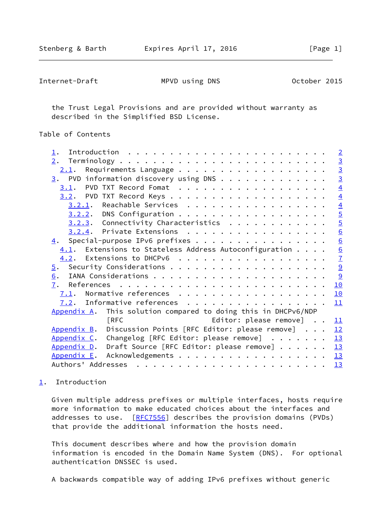<span id="page-1-1"></span> the Trust Legal Provisions and are provided without warranty as described in the Simplified BSD License.

## Table of Contents

| $\perp$ .                                                          | $\overline{2}$ |
|--------------------------------------------------------------------|----------------|
|                                                                    |                |
| $2.1$ . Requirements Language                                      | $\frac{3}{3}$  |
| $\underline{3}$ . PVD information discovery using DNS              |                |
| PVD TXT Record Fomat<br>3.1.                                       | $\overline{4}$ |
|                                                                    | $\overline{4}$ |
| 3.2.1. Reachable Services                                          | $\overline{4}$ |
| $3.2.2$ . DNS Configuration                                        | $\overline{5}$ |
| $3.2.3$ . Connectivity Characteristics                             | $\overline{5}$ |
| 3.2.4. Private Extensions                                          | 6              |
| $\underline{4}$ . Special-purpose IPv6 prefixes                    | 6              |
| $4.1$ . Extensions to Stateless Address Autoconfiguration          | 6              |
| $4.2$ . Extensions to DHCPv6                                       | $\overline{1}$ |
| $\overline{5}$ .                                                   | $\overline{9}$ |
| 6.                                                                 | 9              |
| 7.                                                                 | 10             |
|                                                                    | 10             |
| $7.2$ . Informative references                                     | 11             |
| This solution compared to doing this in DHCPv6/NDP<br>Appendix A.  |                |
| <b>TRFC</b><br>Editor: please remove]                              | 11             |
| Appendix B. Discussion Points [RFC Editor: please remove] $\ldots$ | 12             |
| Appendix C. Changelog [RFC Editor: please remove]                  | 13             |
| Appendix D. Draft Source [RFC Editor: please remove]               | 13             |
| Appendix E.                                                        | 13             |
|                                                                    | 13             |
|                                                                    |                |

# <span id="page-1-0"></span>[1](#page-1-0). Introduction

 Given multiple address prefixes or multiple interfaces, hosts require more information to make educated choices about the interfaces and addresses to use. [[RFC7556\]](https://datatracker.ietf.org/doc/pdf/rfc7556) describes the provision domains (PVDs) that provide the additional information the hosts need.

 This document describes where and how the provision domain information is encoded in the Domain Name System (DNS). For optional authentication DNSSEC is used.

A backwards compatible way of adding IPv6 prefixes without generic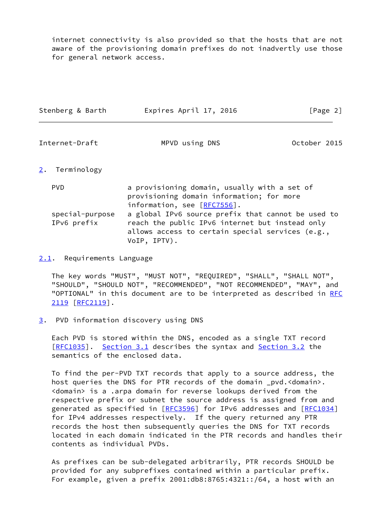internet connectivity is also provided so that the hosts that are not aware of the provisioning domain prefixes do not inadvertly use those for general network access.

<span id="page-2-1"></span>

| Stenberg & Barth  | Expires April 17, 2016                                                                                                   | [Page 2]     |
|-------------------|--------------------------------------------------------------------------------------------------------------------------|--------------|
| Internet-Draft    | MPVD using DNS                                                                                                           | October 2015 |
| 2.<br>Terminology |                                                                                                                          |              |
| <b>PVD</b>        | a provisioning domain, usually with a set of<br>provisioning domain information; for more<br>information, see [RFC7556]. |              |

<span id="page-2-0"></span> special-purpose a global IPv6 source prefix that cannot be used to IPv6 prefix reach the public IPv6 internet but instead only allows access to certain special services (e.g., VoIP, IPTV).

<span id="page-2-2"></span>[2.1](#page-2-2). Requirements Language

 The key words "MUST", "MUST NOT", "REQUIRED", "SHALL", "SHALL NOT", "SHOULD", "SHOULD NOT", "RECOMMENDED", "NOT RECOMMENDED", "MAY", and "OPTIONAL" in this document are to be interpreted as described in [RFC](https://datatracker.ietf.org/doc/pdf/rfc2119) [2119](https://datatracker.ietf.org/doc/pdf/rfc2119) [\[RFC2119](https://datatracker.ietf.org/doc/pdf/rfc2119)].

<span id="page-2-3"></span>[3](#page-2-3). PVD information discovery using DNS

 Each PVD is stored within the DNS, encoded as a single TXT record [\[RFC1035](https://datatracker.ietf.org/doc/pdf/rfc1035)]. [Section 3.1](#page-3-0) describes the syntax and [Section 3.2](#page-3-2) the semantics of the enclosed data.

 To find the per-PVD TXT records that apply to a source address, the host queries the DNS for PTR records of the domain pvd.<domain>. <domain> is a .arpa domain for reverse lookups derived from the respective prefix or subnet the source address is assigned from and generated as specified in [[RFC3596](https://datatracker.ietf.org/doc/pdf/rfc3596)] for IPv6 addresses and [[RFC1034\]](https://datatracker.ietf.org/doc/pdf/rfc1034) for IPv4 addresses respectively. If the query returned any PTR records the host then subsequently queries the DNS for TXT records located in each domain indicated in the PTR records and handles their contents as individual PVDs.

 As prefixes can be sub-delegated arbitrarily, PTR records SHOULD be provided for any subprefixes contained within a particular prefix. For example, given a prefix 2001:db8:8765:4321::/64, a host with an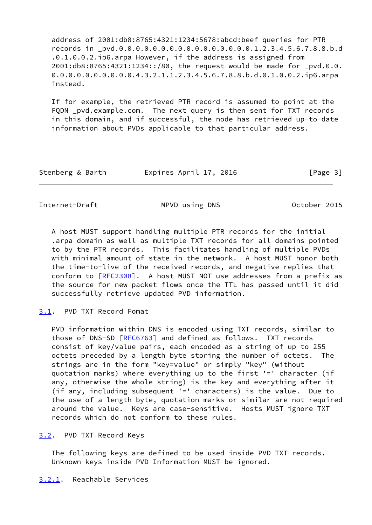address of 2001:db8:8765:4321:1234:5678:abcd:beef queries for PTR records in \_pvd.0.0.0.0.0.0.0.0.0.0.0.0.0.0.0.0.1.2.3.4.5.6.7.8.8.b.d .0.1.0.0.2.ip6.arpa However, if the address is assigned from 2001:db8:8765:4321:1234::/80, the request would be made for \_pvd.0.0. 0.0.0.0.0.0.0.0.0.0.4.3.2.1.1.2.3.4.5.6.7.8.8.b.d.0.1.0.0.2.ip6.arpa instead.

 If for example, the retrieved PTR record is assumed to point at the FQDN \_pvd.example.com. The next query is then sent for TXT records in this domain, and if successful, the node has retrieved up-to-date information about PVDs applicable to that particular address.

| Stenberg & Barth | Expires April 17, 2016 | [Page 3] |
|------------------|------------------------|----------|
|------------------|------------------------|----------|

<span id="page-3-1"></span>Internet-Draft MPVD using DNS October 2015

 A host MUST support handling multiple PTR records for the initial .arpa domain as well as multiple TXT records for all domains pointed to by the PTR records. This facilitates handling of multiple PVDs with minimal amount of state in the network. A host MUST honor both the time-to-live of the received records, and negative replies that conform to [[RFC2308\]](https://datatracker.ietf.org/doc/pdf/rfc2308). A host MUST NOT use addresses from a prefix as the source for new packet flows once the TTL has passed until it did successfully retrieve updated PVD information.

<span id="page-3-0"></span>[3.1](#page-3-0). PVD TXT Record Fomat

 PVD information within DNS is encoded using TXT records, similar to those of DNS-SD [\[RFC6763](https://datatracker.ietf.org/doc/pdf/rfc6763)] and defined as follows. TXT records consist of key/value pairs, each encoded as a string of up to 255 octets preceded by a length byte storing the number of octets. The strings are in the form "key=value" or simply "key" (without quotation marks) where everything up to the first '=' character (if any, otherwise the whole string) is the key and everything after it (if any, including subsequent '=' characters) is the value. Due to the use of a length byte, quotation marks or similar are not required around the value. Keys are case-sensitive. Hosts MUST ignore TXT records which do not conform to these rules.

<span id="page-3-2"></span>[3.2](#page-3-2). PVD TXT Record Keys

 The following keys are defined to be used inside PVD TXT records. Unknown keys inside PVD Information MUST be ignored.

<span id="page-3-3"></span>[3.2.1](#page-3-3). Reachable Services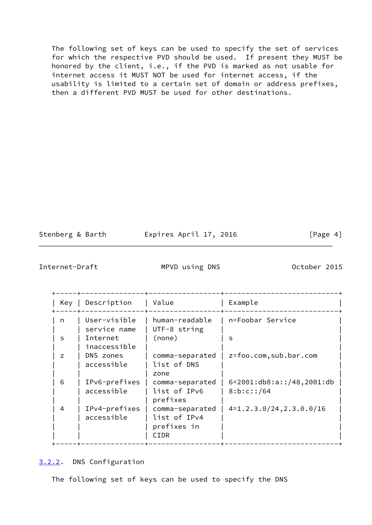The following set of keys can be used to specify the set of services for which the respective PVD should be used. If present they MUST be honored by the client, i.e., if the PVD is marked as not usable for internet access it MUST NOT be used for internet access, if the usability is limited to a certain set of domain or address prefixes, then a different PVD MUST be used for other destinations.

| Stenberg & Barth |  |
|------------------|--|
|------------------|--|

Expires April 17, 2016 [Page 4]

<span id="page-4-1"></span>Internet-Draft MPVD using DNS 0ctober 2015

| Key | Description                  | Value                                                  | Example                                           |
|-----|------------------------------|--------------------------------------------------------|---------------------------------------------------|
| n   | User-visible<br>service name | human-readable<br>UTF-8 string                         | n=Foobar Service                                  |
| S   | Internet<br>inaccessible     | (none)                                                 | s                                                 |
| z   | DNS zones<br>accessible      | comma-separated<br>list of DNS<br>zone                 | z=foo.com,sub.bar.com                             |
| 6   | IPv6-prefixes<br>accessible  | comma-separated<br>list of IPv6<br>prefixes            | $6=2001: db8: a::/48, 2001: db$<br>8: b: c: : /64 |
| 4   | IPv4-prefixes<br>accessible  | comma-separated<br>list of IPv4<br>prefixes in<br>CIDR | $4=1.2.3.0/24, 2.3.0.0/16$                        |

<span id="page-4-0"></span>[3.2.2](#page-4-0). DNS Configuration

The following set of keys can be used to specify the DNS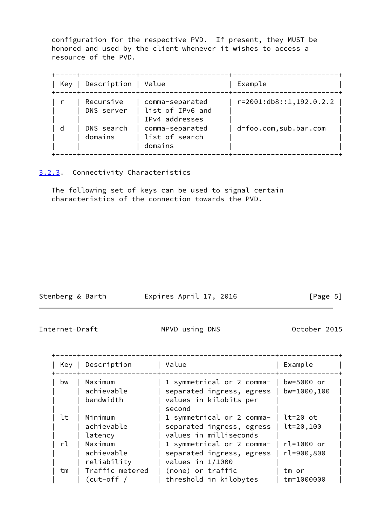configuration for the respective PVD. If present, they MUST be honored and used by the client whenever it wishes to access a resource of the PVD.

| Key | Description   Value     |                                                       | Example                       |
|-----|-------------------------|-------------------------------------------------------|-------------------------------|
|     | Recursive<br>DNS server | comma-separated<br>list of IPv6 and<br>IPv4 addresses | $r = 2001: db8::1, 192.0.2.2$ |
| d   | DNS search<br>domains   | comma-separated<br>list of search<br>domains          | d=foo.com,sub.bar.com         |

<span id="page-5-0"></span>[3.2.3](#page-5-0). Connectivity Characteristics

 The following set of keys can be used to signal certain characteristics of the connection towards the PVD.

| Stenberg & Barth | Expires April 17, 2016 | [Page 5] |
|------------------|------------------------|----------|

<span id="page-5-1"></span>Internet-Draft MPVD using DNS 0ctober 2015

| Key | Description                                    | Value                                                                                      | Example                      |
|-----|------------------------------------------------|--------------------------------------------------------------------------------------------|------------------------------|
| bw  | Maximum<br>achievable<br>bandwidth             | 1 symmetrical or 2 comma-<br>separated ingress, egress<br>values in kilobits per<br>second | bw=5000 or<br>bw=1000,100    |
| lt  | Minimum<br>achievable                          | 1 symmetrical or 2 comma-<br>separated ingress, egress                                     | $lt=20$ ot<br>$lt = 20, 100$ |
| rl  | latency<br>Maximum<br>achievable               | values in milliseconds<br>1 symmetrical or 2 comma-<br>separated ingress, egress           | rl=1000 or<br>rl=900,800     |
| tm  | reliability<br>Traffic metered<br>$(cut-off /$ | values in $1/1000$<br>(none) or traffic<br>threshold in kilobytes                          | tm or<br>tm=1000000          |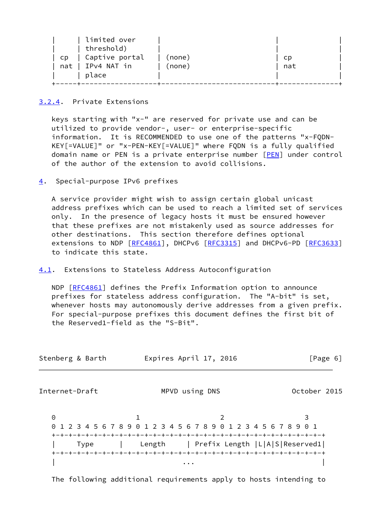| Captive portal<br>(none)<br>CD.<br>CD. |  |
|----------------------------------------|--|
| nat   IPv4 NAT in<br>(none)<br>nat     |  |
| place                                  |  |

### <span id="page-6-1"></span>[3.2.4](#page-6-1). Private Extensions

 keys starting with "x-" are reserved for private use and can be utilized to provide vendor-, user- or enterprise-specific information. It is RECOMMENDED to use one of the patterns "x-FQDN- KEY[=VALUE]" or "x-PEN-KEY[=VALUE]" where FQDN is a fully qualified domain name or PEN is a private enterprise number [[PEN](#page-11-3)] under control of the author of the extension to avoid collisions.

## <span id="page-6-0"></span>[4](#page-6-0). Special-purpose IPv6 prefixes

 A service provider might wish to assign certain global unicast address prefixes which can be used to reach a limited set of services only. In the presence of legacy hosts it must be ensured however that these prefixes are not mistakenly used as source addresses for other destinations. This section therefore defines optional extensions to NDP [[RFC4861](https://datatracker.ietf.org/doc/pdf/rfc4861)], DHCPv6 [\[RFC3315](https://datatracker.ietf.org/doc/pdf/rfc3315)] and DHCPv6-PD [\[RFC3633](https://datatracker.ietf.org/doc/pdf/rfc3633)] to indicate this state.

### <span id="page-6-2"></span>[4.1](#page-6-2). Extensions to Stateless Address Autoconfiguration

NDP [\[RFC4861](https://datatracker.ietf.org/doc/pdf/rfc4861)] defines the Prefix Information option to announce prefixes for stateless address configuration. The "A-bit" is set, whenever hosts may autonomously derive addresses from a given prefix. For special-purpose prefixes this document defines the first bit of the Reserved1-field as the "S-Bit".

<span id="page-6-3"></span>

| Stenberg & Barth | Expires April 17, 2016                                        | [Page 6]     |
|------------------|---------------------------------------------------------------|--------------|
| Internet-Draft   | MPVD using DNS                                                | October 2015 |
| 0<br>$\Theta$    | 1 2 3 4 5 6 7 8 9 0 1 2 3 4 5 6 7 8 9 0 1 2 3 4 5 6 7 8 9 0 1 | 3            |
| Type             | Length   Prefix Length   L A S  Reserved1                     |              |

The following additional requirements apply to hosts intending to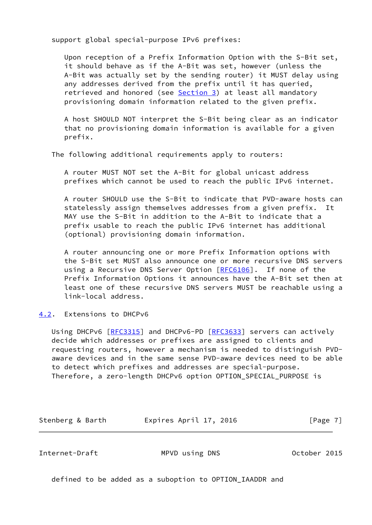support global special-purpose IPv6 prefixes:

 Upon reception of a Prefix Information Option with the S-Bit set, it should behave as if the A-Bit was set, however (unless the A-Bit was actually set by the sending router) it MUST delay using any addresses derived from the prefix until it has queried, retrieved and honored (see [Section 3\)](#page-2-3) at least all mandatory provisioning domain information related to the given prefix.

 A host SHOULD NOT interpret the S-Bit being clear as an indicator that no provisioning domain information is available for a given prefix.

The following additional requirements apply to routers:

 A router MUST NOT set the A-Bit for global unicast address prefixes which cannot be used to reach the public IPv6 internet.

 A router SHOULD use the S-Bit to indicate that PVD-aware hosts can statelessly assign themselves addresses from a given prefix. It MAY use the S-Bit in addition to the A-Bit to indicate that a prefix usable to reach the public IPv6 internet has additional (optional) provisioning domain information.

 A router announcing one or more Prefix Information options with the S-Bit set MUST also announce one or more recursive DNS servers using a Recursive DNS Server Option [\[RFC6106](https://datatracker.ietf.org/doc/pdf/rfc6106)]. If none of the Prefix Information Options it announces have the A-Bit set then at least one of these recursive DNS servers MUST be reachable using a link-local address.

<span id="page-7-0"></span>[4.2](#page-7-0). Extensions to DHCPv6

Using DHCPv6 [\[RFC3315](https://datatracker.ietf.org/doc/pdf/rfc3315)] and DHCPv6-PD [\[RFC3633](https://datatracker.ietf.org/doc/pdf/rfc3633)] servers can actively decide which addresses or prefixes are assigned to clients and requesting routers, however a mechanism is needed to distinguish PVD aware devices and in the same sense PVD-aware devices need to be able to detect which prefixes and addresses are special-purpose. Therefore, a zero-length DHCPv6 option OPTION\_SPECIAL\_PURPOSE is

Stenberg & Barth **Expires April 17, 2016** [Page 7]

Internet-Draft MPVD using DNS October 2015

defined to be added as a suboption to OPTION\_IAADDR and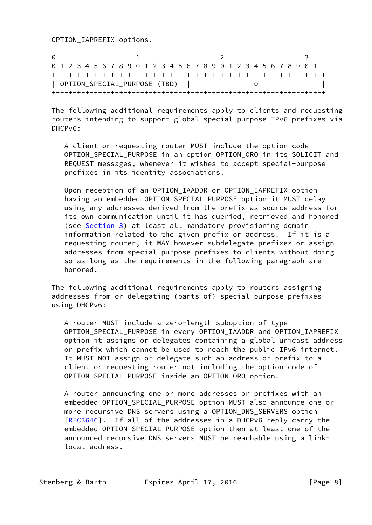OPTION\_IAPREFIX options.

0 1 2 3 0 1 2 3 4 5 6 7 8 9 0 1 2 3 4 5 6 7 8 9 0 1 2 3 4 5 6 7 8 9 0 1 +-+-+-+-+-+-+-+-+-+-+-+-+-+-+-+-+-+-+-+-+-+-+-+-+-+-+-+-+-+-+-+-+ | OPTION\_SPECIAL\_PURPOSE (TBD) | 0 | +-+-+-+-+-+-+-+-+-+-+-+-+-+-+-+-+-+-+-+-+-+-+-+-+-+-+-+-+-+-+-+-+

 The following additional requirements apply to clients and requesting routers intending to support global special-purpose IPv6 prefixes via DHCPv6:

 A client or requesting router MUST include the option code OPTION\_SPECIAL\_PURPOSE in an option OPTION\_ORO in its SOLICIT and REQUEST messages, whenever it wishes to accept special-purpose prefixes in its identity associations.

 Upon reception of an OPTION\_IAADDR or OPTION\_IAPREFIX option having an embedded OPTION SPECIAL PURPOSE option it MUST delay using any addresses derived from the prefix as source address for its own communication until it has queried, retrieved and honored (see [Section 3](#page-2-3)) at least all mandatory provisioning domain information related to the given prefix or address. If it is a requesting router, it MAY however subdelegate prefixes or assign addresses from special-purpose prefixes to clients without doing so as long as the requirements in the following paragraph are honored.

 The following additional requirements apply to routers assigning addresses from or delegating (parts of) special-purpose prefixes using DHCPv6:

 A router MUST include a zero-length suboption of type OPTION\_SPECIAL\_PURPOSE in every OPTION\_IAADDR and OPTION\_IAPREFIX option it assigns or delegates containing a global unicast address or prefix which cannot be used to reach the public IPv6 internet. It MUST NOT assign or delegate such an address or prefix to a client or requesting router not including the option code of OPTION\_SPECIAL\_PURPOSE inside an OPTION\_ORO option.

 A router announcing one or more addresses or prefixes with an embedded OPTION\_SPECIAL\_PURPOSE option MUST also announce one or more recursive DNS servers using a OPTION\_DNS\_SERVERS option [[RFC3646\]](https://datatracker.ietf.org/doc/pdf/rfc3646). If all of the addresses in a DHCPv6 reply carry the embedded OPTION\_SPECIAL\_PURPOSE option then at least one of the announced recursive DNS servers MUST be reachable using a link local address.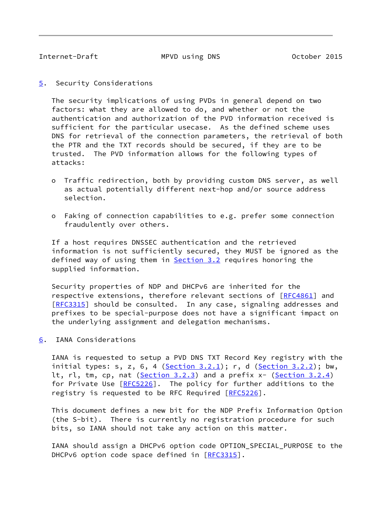<span id="page-9-1"></span>

<span id="page-9-0"></span>[5](#page-9-0). Security Considerations

 The security implications of using PVDs in general depend on two factors: what they are allowed to do, and whether or not the authentication and authorization of the PVD information received is sufficient for the particular usecase. As the defined scheme uses DNS for retrieval of the connection parameters, the retrieval of both the PTR and the TXT records should be secured, if they are to be trusted. The PVD information allows for the following types of attacks:

- o Traffic redirection, both by providing custom DNS server, as well as actual potentially different next-hop and/or source address selection.
- o Faking of connection capabilities to e.g. prefer some connection fraudulently over others.

 If a host requires DNSSEC authentication and the retrieved information is not sufficiently secured, they MUST be ignored as the defined way of using them in [Section 3.2](#page-3-2) requires honoring the supplied information.

 Security properties of NDP and DHCPv6 are inherited for the respective extensions, therefore relevant sections of [[RFC4861](https://datatracker.ietf.org/doc/pdf/rfc4861)] and [\[RFC3315](https://datatracker.ietf.org/doc/pdf/rfc3315)] should be consulted. In any case, signaling addresses and prefixes to be special-purpose does not have a significant impact on the underlying assignment and delegation mechanisms.

<span id="page-9-2"></span>[6](#page-9-2). IANA Considerations

 IANA is requested to setup a PVD DNS TXT Record Key registry with the initial types:  $s, z, 6, 4$  ([Section 3.2.1\)](#page-3-3);  $r, d$  [\(Section 3.2.2](#page-4-0)); bw, lt, rl, tm, cp, nat [\(Section 3.2.3](#page-5-0)) and a prefix x- [\(Section 3.2.4](#page-6-1)) for Private Use [\[RFC5226](https://datatracker.ietf.org/doc/pdf/rfc5226)]. The policy for further additions to the registry is requested to be RFC Required [\[RFC5226](https://datatracker.ietf.org/doc/pdf/rfc5226)].

 This document defines a new bit for the NDP Prefix Information Option (the S-bit). There is currently no registration procedure for such bits, so IANA should not take any action on this matter.

 IANA should assign a DHCPv6 option code OPTION\_SPECIAL\_PURPOSE to the DHCPv6 option code space defined in [\[RFC3315](https://datatracker.ietf.org/doc/pdf/rfc3315)].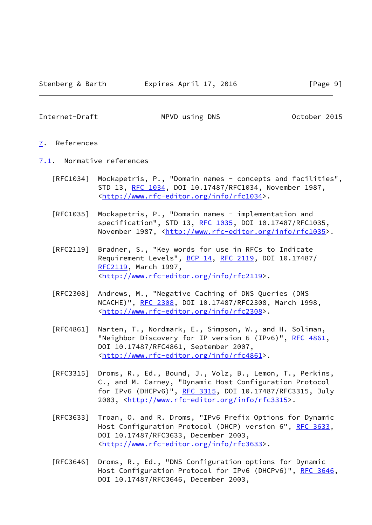#### <span id="page-10-1"></span><span id="page-10-0"></span>[7](#page-10-0). References

- <span id="page-10-2"></span>[7.1](#page-10-2). Normative references
	- [RFC1034] Mockapetris, P., "Domain names concepts and facilities", STD 13, [RFC 1034,](https://datatracker.ietf.org/doc/pdf/rfc1034) DOI 10.17487/RFC1034, November 1987, <<http://www.rfc-editor.org/info/rfc1034>>.
	- [RFC1035] Mockapetris, P., "Domain names implementation and specification", STD 13, [RFC 1035,](https://datatracker.ietf.org/doc/pdf/rfc1035) DOI 10.17487/RFC1035, November 1987, <<http://www.rfc-editor.org/info/rfc1035>>.
	- [RFC2119] Bradner, S., "Key words for use in RFCs to Indicate Requirement Levels", [BCP 14](https://datatracker.ietf.org/doc/pdf/bcp14), [RFC 2119](https://datatracker.ietf.org/doc/pdf/rfc2119), DOI 10.17487/ [RFC2119](https://datatracker.ietf.org/doc/pdf/rfc2119), March 1997, <<http://www.rfc-editor.org/info/rfc2119>>.
	- [RFC2308] Andrews, M., "Negative Caching of DNS Queries (DNS NCACHE)", [RFC 2308](https://datatracker.ietf.org/doc/pdf/rfc2308), DOI 10.17487/RFC2308, March 1998, <<http://www.rfc-editor.org/info/rfc2308>>.
	- [RFC4861] Narten, T., Nordmark, E., Simpson, W., and H. Soliman, "Neighbor Discovery for IP version 6 (IPv6)", [RFC 4861](https://datatracker.ietf.org/doc/pdf/rfc4861), DOI 10.17487/RFC4861, September 2007, <<http://www.rfc-editor.org/info/rfc4861>>.
	- [RFC3315] Droms, R., Ed., Bound, J., Volz, B., Lemon, T., Perkins, C., and M. Carney, "Dynamic Host Configuration Protocol for IPv6 (DHCPv6)", [RFC 3315,](https://datatracker.ietf.org/doc/pdf/rfc3315) DOI 10.17487/RFC3315, July 2003, [<http://www.rfc-editor.org/info/rfc3315](http://www.rfc-editor.org/info/rfc3315)>.
	- [RFC3633] Troan, O. and R. Droms, "IPv6 Prefix Options for Dynamic Host Configuration Protocol (DHCP) version 6", [RFC 3633](https://datatracker.ietf.org/doc/pdf/rfc3633), DOI 10.17487/RFC3633, December 2003, <<http://www.rfc-editor.org/info/rfc3633>>.
	- [RFC3646] Droms, R., Ed., "DNS Configuration options for Dynamic Host Configuration Protocol for IPv6 (DHCPv6)", [RFC 3646,](https://datatracker.ietf.org/doc/pdf/rfc3646) DOI 10.17487/RFC3646, December 2003,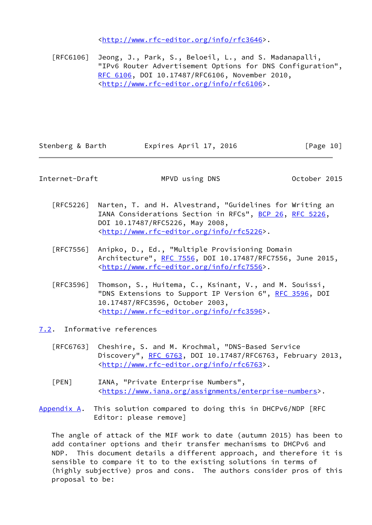<<http://www.rfc-editor.org/info/rfc3646>>.

 [RFC6106] Jeong, J., Park, S., Beloeil, L., and S. Madanapalli, "IPv6 Router Advertisement Options for DNS Configuration", [RFC 6106,](https://datatracker.ietf.org/doc/pdf/rfc6106) DOI 10.17487/RFC6106, November 2010, <<http://www.rfc-editor.org/info/rfc6106>>.

Stenberg & Barth Expires April 17, 2016 [Page 10]

<span id="page-11-1"></span>Internet-Draft MPVD using DNS October 2015

- [RFC5226] Narten, T. and H. Alvestrand, "Guidelines for Writing an IANA Considerations Section in RFCs", [BCP 26](https://datatracker.ietf.org/doc/pdf/bcp26), [RFC 5226](https://datatracker.ietf.org/doc/pdf/rfc5226), DOI 10.17487/RFC5226, May 2008, <<http://www.rfc-editor.org/info/rfc5226>>.
- [RFC7556] Anipko, D., Ed., "Multiple Provisioning Domain Architecture", [RFC 7556](https://datatracker.ietf.org/doc/pdf/rfc7556), DOI 10.17487/RFC7556, June 2015, <<http://www.rfc-editor.org/info/rfc7556>>.
- [RFC3596] Thomson, S., Huitema, C., Ksinant, V., and M. Souissi, "DNS Extensions to Support IP Version 6", [RFC 3596](https://datatracker.ietf.org/doc/pdf/rfc3596), DOI 10.17487/RFC3596, October 2003, <<http://www.rfc-editor.org/info/rfc3596>>.
- <span id="page-11-0"></span>[7.2](#page-11-0). Informative references
	- [RFC6763] Cheshire, S. and M. Krochmal, "DNS-Based Service Discovery", [RFC 6763,](https://datatracker.ietf.org/doc/pdf/rfc6763) DOI 10.17487/RFC6763, February 2013, <<http://www.rfc-editor.org/info/rfc6763>>.
	- [PEN] IANA, "Private Enterprise Numbers", <[https://www.iana.org/assignments/enterprise-numbers>](https://www.iana.org/assignments/enterprise-numbers).
- <span id="page-11-3"></span><span id="page-11-2"></span>[Appendix A.](#page-11-2) This solution compared to doing this in DHCPv6/NDP [RFC Editor: please remove]

 The angle of attack of the MIF work to date (autumn 2015) has been to add container options and their transfer mechanisms to DHCPv6 and NDP. This document details a different approach, and therefore it is sensible to compare it to to the existing solutions in terms of (highly subjective) pros and cons. The authors consider pros of this proposal to be: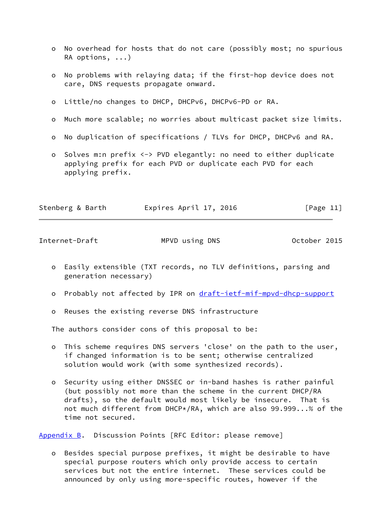- o No overhead for hosts that do not care (possibly most; no spurious RA options, ...)
- o No problems with relaying data; if the first-hop device does not care, DNS requests propagate onward.
- o Little/no changes to DHCP, DHCPv6, DHCPv6-PD or RA.
- o Much more scalable; no worries about multicast packet size limits.
- o No duplication of specifications / TLVs for DHCP, DHCPv6 and RA.
- o Solves m:n prefix <-> PVD elegantly: no need to either duplicate applying prefix for each PVD or duplicate each PVD for each applying prefix.

<span id="page-12-1"></span>

| Stenberg & Barth | Expires April 17, 2016 | [Page 11] |
|------------------|------------------------|-----------|
|                  |                        |           |

- o Easily extensible (TXT records, no TLV definitions, parsing and generation necessary)
- o Probably not affected by IPR on [draft-ietf-mif-mpvd-dhcp-support](https://datatracker.ietf.org/doc/pdf/draft-ietf-mif-mpvd-dhcp-support)
- o Reuses the existing reverse DNS infrastructure

The authors consider cons of this proposal to be:

- o This scheme requires DNS servers 'close' on the path to the user, if changed information is to be sent; otherwise centralized solution would work (with some synthesized records).
- o Security using either DNSSEC or in-band hashes is rather painful (but possibly not more than the scheme in the current DHCP/RA drafts), so the default would most likely be insecure. That is not much different from DHCP\*/RA, which are also 99.999...% of the time not secured.

<span id="page-12-0"></span>[Appendix B.](#page-12-0) Discussion Points [RFC Editor: please remove]

 o Besides special purpose prefixes, it might be desirable to have special purpose routers which only provide access to certain services but not the entire internet. These services could be announced by only using more-specific routes, however if the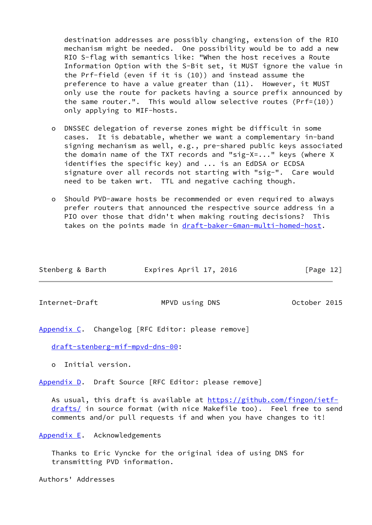destination addresses are possibly changing, extension of the RIO mechanism might be needed. One possibility would be to add a new RIO S-flag with semantics like: "When the host receives a Route Information Option with the S-Bit set, it MUST ignore the value in the Prf-field (even if it is (10)) and instead assume the preference to have a value greater than (11). However, it MUST only use the route for packets having a source prefix announced by the same router.". This would allow selective routes (Prf=(10)) only applying to MIF-hosts.

- o DNSSEC delegation of reverse zones might be difficult in some cases. It is debatable, whether we want a complementary in-band signing mechanism as well, e.g., pre-shared public keys associated the domain name of the TXT records and "sig-X=..." keys (where X identifies the specific key) and ... is an EdDSA or ECDSA signature over all records not starting with "sig-". Care would need to be taken wrt. TTL and negative caching though.
- o Should PVD-aware hosts be recommended or even required to always prefer routers that announced the respective source address in a PIO over those that didn't when making routing decisions? This takes on the points made in [draft-baker-6man-multi-homed-host.](https://datatracker.ietf.org/doc/pdf/draft-baker-6man-multi-homed-host)

| Stenberg & Barth | Expires April 17, 2016 | [Page 12] |
|------------------|------------------------|-----------|
|                  |                        |           |

<span id="page-13-1"></span>Internet-Draft MPVD using DNS October 2015

<span id="page-13-0"></span>[Appendix C.](#page-13-0) Changelog [RFC Editor: please remove]

[draft-stenberg-mif-mpvd-dns-00](https://datatracker.ietf.org/doc/pdf/draft-stenberg-mif-mpvd-dns-00):

o Initial version.

<span id="page-13-2"></span>[Appendix D.](#page-13-2) Draft Source [RFC Editor: please remove]

As usual, this draft is available at [https://github.com/fingon/ietf](https://github.com/fingon/ietf-drafts/) [drafts/](https://github.com/fingon/ietf-drafts/) in source format (with nice Makefile too). Feel free to send comments and/or pull requests if and when you have changes to it!

<span id="page-13-3"></span>[Appendix E.](#page-13-3) Acknowledgements

 Thanks to Eric Vyncke for the original idea of using DNS for transmitting PVD information.

Authors' Addresses